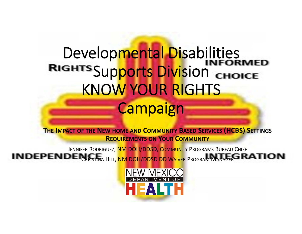# Developmental Disabilities RIGHTS Supports Division CHOICE KNOW YOUR RIGHTS **Campaign**

**THE IMPACT OF THE NEW HOME AND COMMUNITY BASED SERVICES (HCBS) SETTINGS REQUIREMENTS ON YOUR COMMUNITY**

Jennifer Rodriguez<mark>, NM DOH/DDSD, Communit</mark>y Programs Bureau Chief Christina Hill, <mark>NM DOH/DDSD DD Waive</mark>r Program Manager

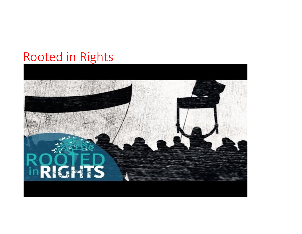### Rooted in Rights

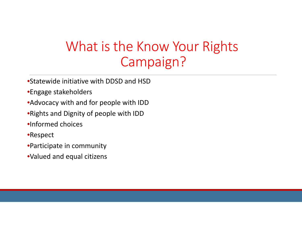# What is the Know Your Rights Campaign?

- •Statewide initiative with DDSD and HSD
- •Engage stakeholders
- •Advocacy with and for people with IDD
- •Rights and Dignity of people with IDD
- •Informed choices
- •Respect
- •Participate in community
- •Valued and equal citizens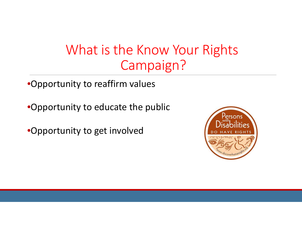### What is the Know Your Rights Campaign?

•Opportunity to reaffirm values

•Opportunity to educate the public

•Opportunity to get involved

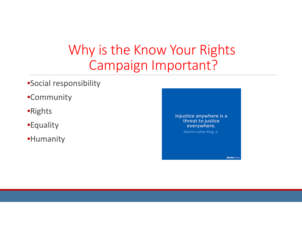## Why is the Know Your Rights Campaign Important?

- •Social responsibility
- •Community
- •Rights
- •Equality
- •Humanity

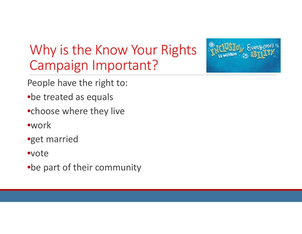# Why is the Know Your Rights Campaign Important?



- People have the right to:
- •be treated as equals
- •choose where they live
- •work
- •get married
- •vote
- •be part of their community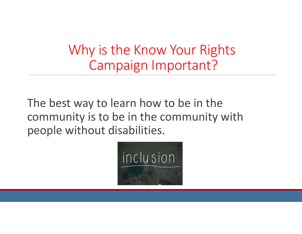Why is the Know Your Rights Campaign Important?

The best way to learn how to be in the community is to be in the community with people without disabilities.

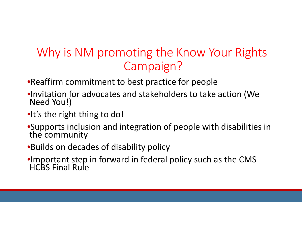#### Why is NM promoting the Know Your Rights Campaign?

- •Reaffirm commitment to best practice for people
- •Invitation for advocates and stakeholders to take action (We Need You!)
- •It's the right thing to do!
- •Supports inclusion and integration of people with disabilities in the community
- •Builds on decades of disability policy
- •Important step in forward in federal policy such as the CMS<br>HCBS Final Rule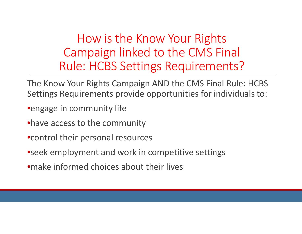How is the Know Your Rights Campaign linked to the CMS Final Rule: HCBS Settings Requirements?

- The Know Your Rights Campaign AND the CMS Final Rule: HCBS Settings Requirements provide opportunities for individuals to:
- •engage in community life
- •have access to the community
- •control their personal resources
- •seek employment and work in competitive settings
- •make informed choices about their lives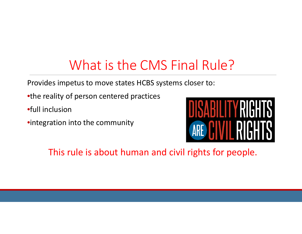# What is the CMS Final Rule?

Provides impetus to move states HCBS systems closer to:

- •the reality of person centered practices
- •full inclusion
- •integration into the community



This rule is about human and civil rights for people.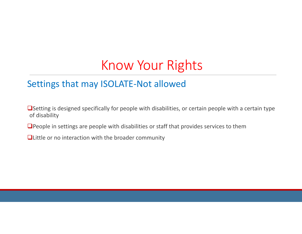#### Settings that may ISOLATE-Not allowed

 $\Box$  Setting is designed specifically for people with disabilities, or certain people with a certain type of disability

 $\Box$  People in settings are people with disabilities or staff that provides services to them

**Quittle or no interaction with the broader community**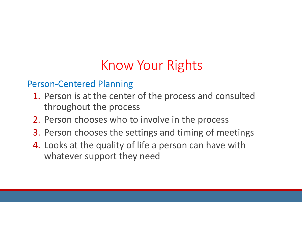#### Person-Centered Planning

- 1. Person is at the center of the process and consulted throughout the process
- 2. Person chooses who to involve in the process
- 3. Person chooses the settings and timing of meetings
- 4. Looks at the quality of life a person can have with whatever support they need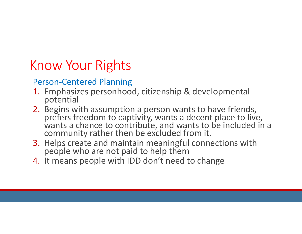#### Person-Centered Planning

- 1. Emphasizes personhood, citizenship & developmental potential
- 2. Begins with assumption a person wants to have friends, prefers freedom to captivity, wants a decent place to live,<br>wants a chance to contribute, and wants to be included in a community rather then be excluded from it.
- 3. Helps create and maintain meaningful connections with people who are not paid to help them
- 4. It means people with IDD don't need to change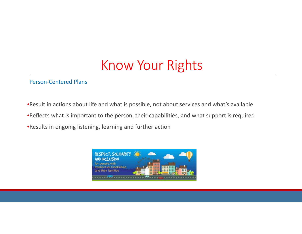#### Person-Centered Plans

•Result in actions about life and what is possible, not about services and what's available

•Reflects what is important to the person, their capabilities, and what support is required

•Results in ongoing listening, learning and further action

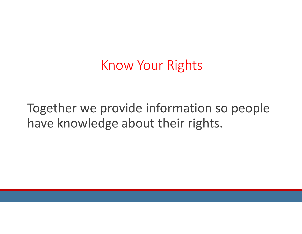Together we provide information so people have knowledge about their rights.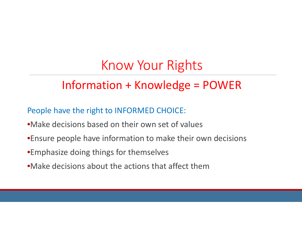#### Information + Knowledge = POWER

People have the right to INFORMED CHOICE:

- •Make decisions based on their own set of values
- •Ensure people have information to make their own decisions
- •Emphasize doing things for themselves
- •Make decisions about the actions that affect them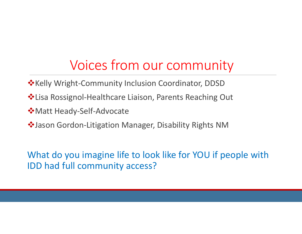# Voices from our community

- **\*** Kelly Wright-Community Inclusion Coordinator, DDSD
- Lisa Rossignol-Healthcare Liaison, Parents Reaching Out
- Matt Heady-Self-Advocate
- $\dots$  Jason Gordon-Litigation Manager, Disability Rights NM

What do you imagine life to look like for YOU if people with IDD had full community access?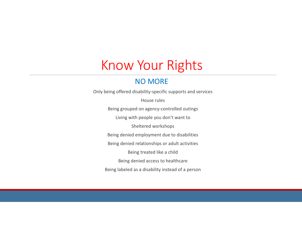#### NO MORE

Only being offered disability-specific supports and services House rulesBeing grouped on agency-controlled outings Living with people you don't want to Sheltered workshops Being denied employment due to disabilities Being denied relationships or adult activities Being treated like a child Being denied access to healthcare Being labeled as a disability instead of a person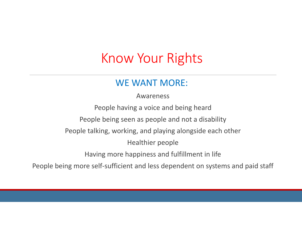#### WE WANT MORE:

Awareness

People having a voice and being heard People being seen as people and not a disability People talking, working, and playing alongside each other Healthier people Having more happiness and fulfillment in life

People being more self-sufficient and less dependent on systems and paid staff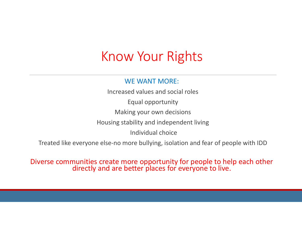#### WE WANT MORE:

Increased values and social rolesEqual opportunity Making your own decisions Housing stability and independent living Individual choice

Treated like everyone else-no more bullying, isolation and fear of people with IDD

Diverse communities create more opportunity for people to help each other directly and are better places for everyone to live.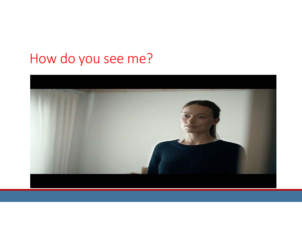# How do you see me?

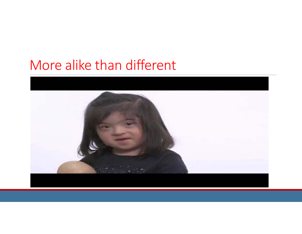### More alike than different

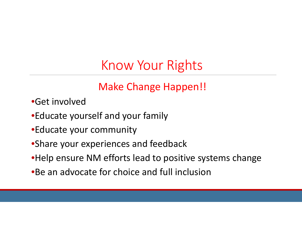#### Make Change Happen!!

- •Get involved
- •Educate yourself and your family
- •Educate your community
- •Share your experiences and feedback
- •Help ensure NM efforts lead to positive systems change
- •Be an advocate for choice and full inclusion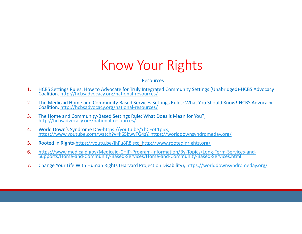#### Resources

- 1.HCBS Settings Rules: How to Advocate for Truly Integrated Community Settings (Unabridged)-HCBS Advocacy Coalition. http://hcbsadvocacy.org/national-resources/
- 2.The Medicaid Home and Community Based Services Settings Rules: What You Should Know!-HCBS Advocacy Coalition. http://hcbsadvocacy.org/national-resources/
- 3.The Home and Community-Based Settings Rule: What Does it Mean for You?, http://hcbsadvocacy.org/national-resources/
- 4.World Down's Syndrome Day-https://youtu.be/YhCEoL1pics, https://www.youtube.com/watch?v=k65kwvFG4sY, https://worlddownsyndromeday.org/
- 5.Rooted in Rights-https://youtu.be/IhFu8R8lsxc, http://www.rootedinrights.org/
- 6.https://www.medicaid.gov/Medicaid-CHIP-Program-Information/By-Topics/Long-Term-Services-and- Supports/Home-and-Community-Based-Services/Home-and-Community-Based-Services.html
- 7.Change Your Life With Human Rights (Harvard Project on Disability), https://worlddownsyndromeday.org/